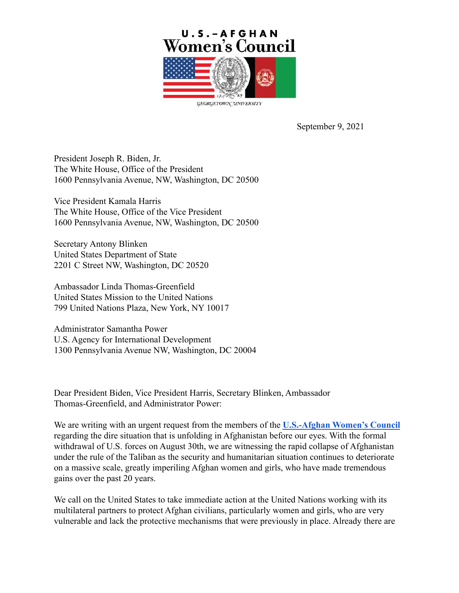

September 9, 2021

President Joseph R. Biden, Jr. The White House, Office of the President 1600 Pennsylvania Avenue, NW, Washington, DC 20500

Vice President Kamala Harris The White House, Office of the Vice President 1600 Pennsylvania Avenue, NW, Washington, DC 20500

Secretary Antony Blinken United States Department of State 2201 C Street NW, Washington, DC 20520

Ambassador Linda Thomas-Greenfield United States Mission to the United Nations 799 United Nations Plaza, New York, NY 10017

Administrator Samantha Power U.S. Agency for International Development 1300 Pennsylvania Avenue NW, Washington, DC 20004

Dear President Biden, Vice President Harris, Secretary Blinken, Ambassador Thomas-Greenfield, and Administrator Power:

We are writing with an urgent request from the members of the **[U.S.-Afghan Women's Council](https://gucchd.georgetown.edu/USAWC/)** regarding the dire situation that is unfolding in Afghanistan before our eyes. With the formal withdrawal of U.S. forces on August 30th, we are witnessing the rapid collapse of Afghanistan under the rule of the Taliban as the security and humanitarian situation continues to deteriorate on a massive scale, greatly imperiling Afghan women and girls, who have made tremendous gains over the past 20 years.

We call on the United States to take immediate action at the United Nations working with its multilateral partners to protect Afghan civilians, particularly women and girls, who are very vulnerable and lack the protective mechanisms that were previously in place. Already there are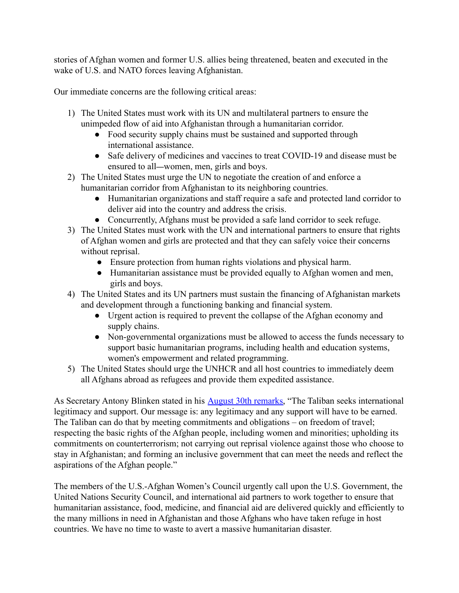stories of Afghan women and former U.S. allies being threatened, beaten and executed in the wake of U.S. and NATO forces leaving Afghanistan.

Our immediate concerns are the following critical areas:

- 1) The United States must work with its UN and multilateral partners to ensure the unimpeded flow of aid into Afghanistan through a humanitarian corridor.
	- Food security supply chains must be sustained and supported through international assistance.
	- Safe delivery of medicines and vaccines to treat COVID-19 and disease must be ensured to all—women, men, girls and boys.
- 2) The United States must urge the UN to negotiate the creation of and enforce a humanitarian corridor from Afghanistan to its neighboring countries.
	- Humanitarian organizations and staff require a safe and protected land corridor to deliver aid into the country and address the crisis.
	- Concurrently, Afghans must be provided a safe land corridor to seek refuge.
- 3) The United States must work with the UN and international partners to ensure that rights of Afghan women and girls are protected and that they can safely voice their concerns without reprisal.
	- Ensure protection from human rights violations and physical harm.
	- Humanitarian assistance must be provided equally to Afghan women and men, girls and boys.
- 4) The United States and its UN partners must sustain the financing of Afghanistan markets and development through a functioning banking and financial system.
	- Urgent action is required to prevent the collapse of the Afghan economy and supply chains.
	- Non-governmental organizations must be allowed to access the funds necessary to support basic humanitarian programs, including health and education systems, women's empowerment and related programming.
- 5) The United States should urge the UNHCR and all host countries to immediately deem all Afghans abroad as refugees and provide them expedited assistance.

As Secretary Antony Blinken stated in his [August 30th](https://www.state.gov/secretary-of-antony-j-blinken-remarks-on-afghanistan/) remarks, "The Taliban seeks international legitimacy and support. Our message is: any legitimacy and any support will have to be earned. The Taliban can do that by meeting commitments and obligations – on freedom of travel; respecting the basic rights of the Afghan people, including women and minorities; upholding its commitments on counterterrorism; not carrying out reprisal violence against those who choose to stay in Afghanistan; and forming an inclusive government that can meet the needs and reflect the aspirations of the Afghan people."

The members of the U.S.-Afghan Women's Council urgently call upon the U.S. Government, the United Nations Security Council, and international aid partners to work together to ensure that humanitarian assistance, food, medicine, and financial aid are delivered quickly and efficiently to the many millions in need in Afghanistan and those Afghans who have taken refuge in host countries. We have no time to waste to avert a massive humanitarian disaster.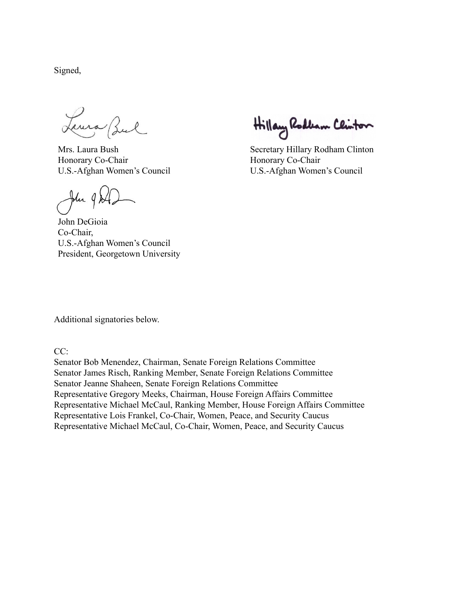Signed,

Leura Bul

Mrs. Laura Bush Honorary Co-Chair U.S.-Afghan Women's Council

John 9 Al.

John DeGioia Co-Chair, U.S.-Afghan Women's Council President, Georgetown University

Hillary Rodbam Clinton

Secretary Hillary Rodham Clinton Honorary Co-Chair U.S.-Afghan Women's Council

Additional signatories below.

CC:

Senator Bob Menendez, Chairman, Senate Foreign Relations Committee Senator James Risch, Ranking Member, Senate Foreign Relations Committee Senator Jeanne Shaheen, Senate Foreign Relations Committee Representative Gregory Meeks, Chairman, House Foreign Affairs Committee Representative Michael McCaul, Ranking Member, House Foreign Affairs Committee Representative Lois Frankel, Co-Chair, Women, Peace, and Security Caucus Representative Michael McCaul, Co-Chair, Women, Peace, and Security Caucus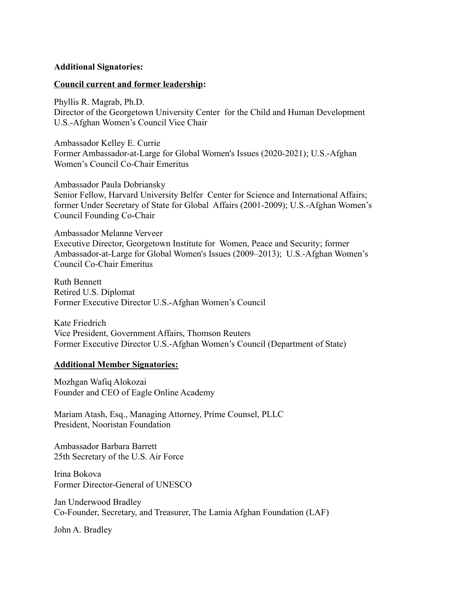## **Additional Signatories:**

## **Council current and former leadership:**

Phyllis R. Magrab, Ph.D. Director of the Georgetown University Center for the Child and Human Development U.S.-Afghan Women's Council Vice Chair

Ambassador Kelley E. Currie Former Ambassador-at-Large for Global Women's Issues (2020-2021); U.S.-Afghan Women's Council Co-Chair Emeritus

Ambassador Paula Dobriansky Senior Fellow, Harvard University Belfer Center for Science and International Affairs; former Under Secretary of State for Global Affairs (2001-2009); U.S.-Afghan Women's Council Founding Co-Chair

Ambassador Melanne Verveer Executive Director, Georgetown Institute for Women, Peace and Security; former Ambassador-at-Large for Global Women's Issues (2009–2013); U.S.-Afghan Women's Council Co-Chair Emeritus

Ruth Bennett Retired U.S. Diplomat Former Executive Director U.S.-Afghan Women's Council

Kate Friedrich Vice President, Government Affairs, Thomson Reuters Former Executive Director U.S.-Afghan Women's Council (Department of State)

## **Additional Member Signatories:**

Mozhgan Wafiq Alokozai Founder and CEO of Eagle Online Academy

Mariam Atash, Esq., Managing Attorney, Prime Counsel, PLLC President, Nooristan Foundation

Ambassador Barbara Barrett 25th Secretary of the U.S. Air Force

Irina Bokova Former Director-General of UNESCO

Jan Underwood Bradley Co-Founder, Secretary, and Treasurer, The Lamia Afghan Foundation (LAF)

John A. Bradley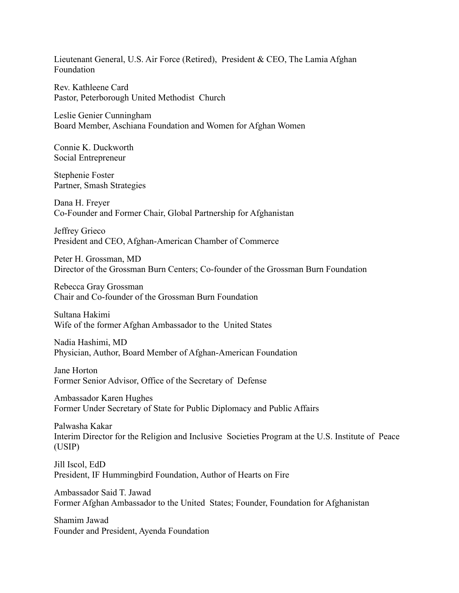Lieutenant General, U.S. Air Force (Retired), President & CEO, The Lamia Afghan Foundation

Rev. Kathleene Card Pastor, Peterborough United Methodist Church

Leslie Genier Cunningham Board Member, Aschiana Foundation and Women for Afghan Women

Connie K. Duckworth Social Entrepreneur

Stephenie Foster Partner, Smash Strategies

Dana H. Freyer Co-Founder and Former Chair, Global Partnership for Afghanistan

Jeffrey Grieco President and CEO, Afghan-American Chamber of Commerce

Peter H. Grossman, MD Director of the Grossman Burn Centers; Co-founder of the Grossman Burn Foundation

Rebecca Gray Grossman Chair and Co-founder of the Grossman Burn Foundation

Sultana Hakimi Wife of the former Afghan Ambassador to the United States

Nadia Hashimi, MD Physician, Author, Board Member of Afghan-American Foundation

Jane Horton Former Senior Advisor, Office of the Secretary of Defense

Ambassador Karen Hughes Former Under Secretary of State for Public Diplomacy and Public Affairs

Palwasha Kakar Interim Director for the Religion and Inclusive Societies Program at the U.S. Institute of Peace (USIP)

Jill Iscol, EdD President, IF Hummingbird Foundation, Author of Hearts on Fire

Ambassador Said T. Jawad Former Afghan Ambassador to the United States; Founder, Foundation for Afghanistan

Shamim Jawad Founder and President, Ayenda Foundation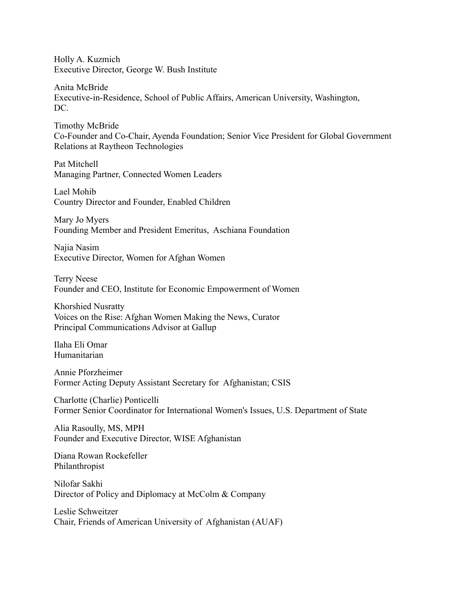Holly A. Kuzmich Executive Director, George W. Bush Institute

Anita McBride Executive-in-Residence, School of Public Affairs, American University, Washington, DC.

Timothy McBride Co-Founder and Co-Chair, Ayenda Foundation; Senior Vice President for Global Government Relations at Raytheon Technologies

Pat Mitchell Managing Partner, Connected Women Leaders

Lael Mohib Country Director and Founder, Enabled Children

Mary Jo Myers Founding Member and President Emeritus, Aschiana Foundation

Najia Nasim Executive Director, Women for Afghan Women

Terry Neese Founder and CEO, Institute for Economic Empowerment of Women

Khorshied Nusratty Voices on the Rise: Afghan Women Making the News, Curator Principal Communications Advisor at Gallup

Ilaha Eli Omar Humanitarian

Annie Pforzheimer Former Acting Deputy Assistant Secretary for Afghanistan; CSIS

Charlotte (Charlie) Ponticelli Former Senior Coordinator for International Women's Issues, U.S. Department of State

Alia Rasoully, MS, MPH Founder and Executive Director, WISE Afghanistan

Diana Rowan Rockefeller Philanthropist

Nilofar Sakhi Director of Policy and Diplomacy at McColm & Company

Leslie Schweitzer Chair, Friends of American University of Afghanistan (AUAF)